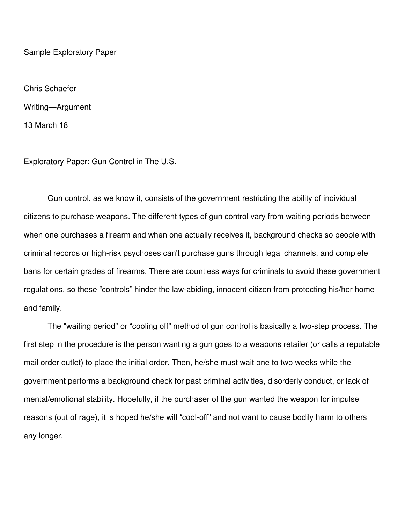Sample Exploratory Paper

Chris Schaefer Writing—Argument 13 March 18

Exploratory Paper: Gun Control in The U.S.

Gun control, as we know it, consists of the government restricting the ability of individual citizens to purchase weapons. The different types of gun control vary from waiting periods between when one purchases a firearm and when one actually receives it, background checks so people with criminal records or high-risk psychoses can't purchase guns through legal channels, and complete bans for certain grades of firearms. There are countless ways for criminals to avoid these government regulations, so these "controls" hinder the law-abiding, innocent citizen from protecting his/her home and family.

The "waiting period" or "cooling off" method of gun control is basically a two-step process. The first step in the procedure is the person wanting a gun goes to a weapons retailer (or calls a reputable mail order outlet) to place the initial order. Then, he/she must wait one to two weeks while the government performs a background check for past criminal activities, disorderly conduct, or lack of mental/emotional stability. Hopefully, if the purchaser of the gun wanted the weapon for impulse reasons (out of rage), it is hoped he/she will "cool-off" and not want to cause bodily harm to others any longer.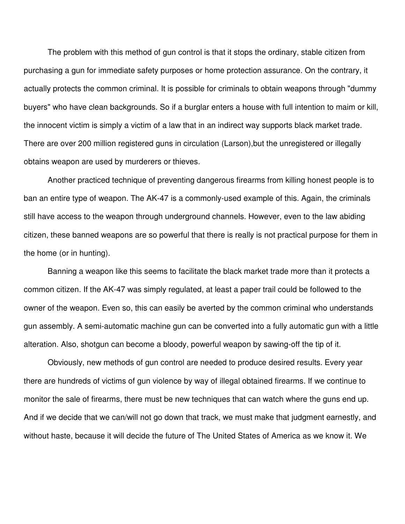The problem with this method of gun control is that it stops the ordinary, stable citizen from purchasing a gun for immediate safety purposes or home protection assurance. On the contrary, it actually protects the common criminal. It is possible for criminals to obtain weapons through "dummy buyers" who have clean backgrounds. So if a burglar enters a house with full intention to maim or kill, the innocent victim is simply a victim of a law that in an indirect way supports black market trade. There are over 200 million registered guns in circulation (Larson),but the unregistered or illegally obtains weapon are used by murderers or thieves.

Another practiced technique of preventing dangerous firearms from killing honest people is to ban an entire type of weapon. The AK-47 is a commonly-used example of this. Again, the criminals still have access to the weapon through underground channels. However, even to the law abiding citizen, these banned weapons are so powerful that there is really is not practical purpose for them in the home (or in hunting).

Banning a weapon like this seems to facilitate the black market trade more than it protects a common citizen. If the AK-47 was simply regulated, at least a paper trail could be followed to the owner of the weapon. Even so, this can easily be averted by the common criminal who understands gun assembly. A semi-automatic machine gun can be converted into a fully automatic gun with a little alteration. Also, shotgun can become a bloody, powerful weapon by sawing-off the tip of it.

Obviously, new methods of gun control are needed to produce desired results. Every year there are hundreds of victims of gun violence by way of illegal obtained firearms. If we continue to monitor the sale of firearms, there must be new techniques that can watch where the guns end up. And if we decide that we can/will not go down that track, we must make that judgment earnestly, and without haste, because it will decide the future of The United States of America as we know it. We